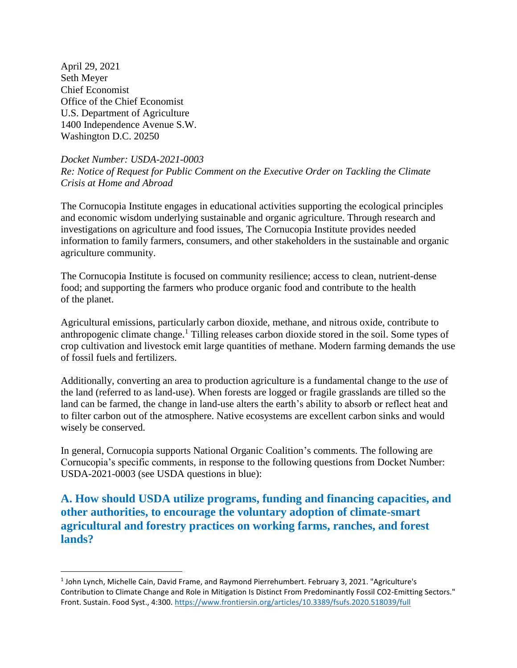April 29, 2021 Seth Meyer Chief Economist Office of the Chief Economist U.S. Department of Agriculture 1400 Independence Avenue S.W. Washington D.C. 20250

 $\overline{a}$ 

*Docket Number: USDA-2021-0003 Re: Notice of Request for Public Comment on the Executive Order on Tackling the Climate Crisis at Home and Abroad*

The Cornucopia Institute engages in educational activities supporting the ecological principles and economic wisdom underlying sustainable and organic agriculture. Through research and investigations on agriculture and food issues, The Cornucopia Institute provides needed information to family farmers, consumers, and other stakeholders in the sustainable and organic agriculture community.

The Cornucopia Institute is focused on community resilience; access to clean, nutrient-dense food; and supporting the farmers who produce organic food and contribute to the health of the planet.

Agricultural emissions, particularly carbon dioxide, methane, and nitrous oxide, contribute to anthropogenic climate change. <sup>1</sup> Tilling releases carbon dioxide stored in the soil. Some types of crop cultivation and livestock emit large quantities of methane. Modern farming demands the use of fossil fuels and fertilizers.

Additionally, converting an area to production agriculture is a fundamental change to the *use* of the land (referred to as land-use). When forests are logged or fragile grasslands are tilled so the land can be farmed, the change in land-use alters the earth's ability to absorb or reflect heat and to filter carbon out of the atmosphere. Native ecosystems are excellent carbon sinks and would wisely be conserved.

In general, Cornucopia supports National Organic Coalition's comments. The following are Cornucopia's specific comments, in response to the following questions from Docket Number: USDA-2021-0003 (see USDA questions in blue):

**A. How should USDA utilize programs, funding and financing capacities, and other authorities, to encourage the voluntary adoption of climate-smart agricultural and forestry practices on working farms, ranches, and forest lands?**

<sup>1</sup> John Lynch, Michelle Cain, David Frame, and Raymond Pierrehumbert. February 3, 2021. "Agriculture's Contribution to Climate Change and Role in Mitigation Is Distinct From Predominantly Fossil CO2-Emitting Sectors." Front. Sustain. Food Syst., 4:300.<https://www.frontiersin.org/articles/10.3389/fsufs.2020.518039/full>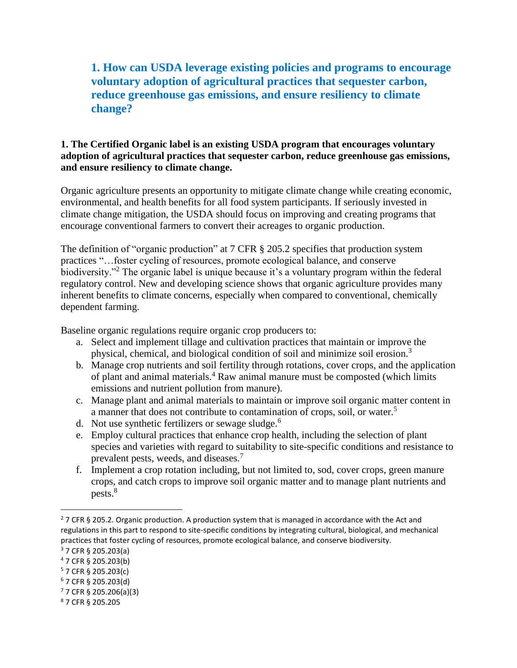## **1. How can USDA leverage existing policies and programs to encourage voluntary adoption of agricultural practices that sequester carbon, reduce greenhouse gas emissions, and ensure resiliency to climate change?**

### **1. The Certified Organic label is an existing USDA program that encourages voluntary adoption of agricultural practices that sequester carbon, reduce greenhouse gas emissions, and ensure resiliency to climate change.**

Organic agriculture presents an opportunity to mitigate climate change while creating economic, environmental, and health benefits for all food system participants. If seriously invested in climate change mitigation, the USDA should focus on improving and creating programs that encourage conventional farmers to convert their acreages to organic production.

The definition of "organic production" at 7 CFR § 205.2 specifies that production system practices "…foster cycling of resources, promote ecological balance, and conserve biodiversity."<sup>2</sup> The organic label is unique because it's a voluntary program within the federal regulatory control. New and developing science shows that organic agriculture provides many inherent benefits to climate concerns, especially when compared to conventional, chemically dependent farming.

Baseline organic regulations require organic crop producers to:

- a. Select and implement tillage and cultivation practices that maintain or improve the physical, chemical, and biological condition of soil and minimize soil erosion.<sup>3</sup>
- b. Manage crop nutrients and soil fertility through rotations, cover crops, and the application of plant and animal materials.<sup>4</sup> Raw animal manure must be composted (which limits emissions and nutrient pollution from manure).
- c. Manage plant and animal materials to maintain or improve soil organic matter content in a manner that does not contribute to contamination of crops, soil, or water.<sup>5</sup>
- d. Not use synthetic fertilizers or sewage sludge.<sup>6</sup>
- e. Employ cultural practices that enhance crop health, including the selection of plant species and varieties with regard to suitability to site-specific conditions and resistance to prevalent pests, weeds, and diseases.<sup>7</sup>
- f. Implement a crop rotation including, but not limited to, sod, cover crops, green manure crops, and catch crops to improve soil organic matter and to manage plant nutrients and pests.<sup>8</sup>

<sup>&</sup>lt;sup>2</sup> 7 CFR § 205.2. Organic production. A production system that is managed in accordance with the Act and regulations in this part to respond to site-specific conditions by integrating cultural, biological, and mechanical practices that foster cycling of resources, promote ecological balance, and conserve biodiversity.

 $3$  7 CFR § 205.203(a)

<sup>4</sup> 7 CFR § 205.203(b)

<sup>5</sup> 7 CFR § 205.203(c)

<sup>6</sup> 7 CFR § 205.203(d)

 $77$  CFR § 205.206(a)(3)

<sup>8</sup> 7 CFR § 205.205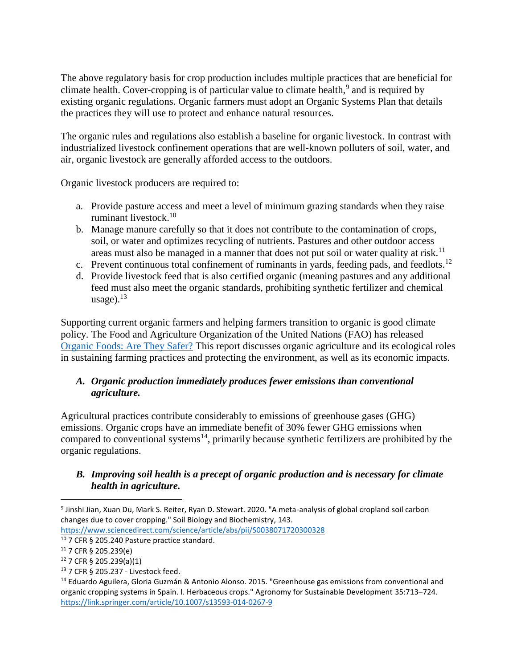The above regulatory basis for crop production includes multiple practices that are beneficial for climate health. Cover-cropping is of particular value to climate health, $9$  and is required by existing organic regulations. Organic farmers must adopt an Organic Systems Plan that details the practices they will use to protect and enhance natural resources.

The organic rules and regulations also establish a baseline for organic livestock. In contrast with industrialized livestock confinement operations that are well-known polluters of soil, water, and air, organic livestock are generally afforded access to the outdoors.

Organic livestock producers are required to:

- a. Provide pasture access and meet a level of minimum grazing standards when they raise ruminant livestock. 10
- b. Manage manure carefully so that it does not contribute to the contamination of crops, soil, or water and optimizes recycling of nutrients. Pastures and other outdoor access areas must also be managed in a manner that does not put soil or water quality at risk.<sup>11</sup>
- c. Prevent continuous total confinement of ruminants in yards, feeding pads, and feedlots.<sup>12</sup>
- d. Provide livestock feed that is also certified organic (meaning pastures and any additional feed must also meet the organic standards, prohibiting synthetic fertilizer and chemical usage). $13$

Supporting current organic farmers and helping farmers transition to organic is good climate policy. The Food and Agriculture Organization of the United Nations (FAO) has released [Organic Foods: Are They Safer?](http://www.fao.org/3/cb2870en/cb2870en.pdf) This report discusses organic agriculture and its ecological roles in sustaining farming practices and protecting the environment, as well as its economic impacts.

## *A. Organic production immediately produces fewer emissions than conventional agriculture.*

Agricultural practices contribute considerably to emissions of greenhouse gases (GHG) emissions. Organic crops have an immediate benefit of 30% fewer GHG emissions when compared to conventional systems<sup>14</sup>, primarily because synthetic fertilizers are prohibited by the organic regulations.

## *B. Improving soil health is a precept of organic production and is necessary for climate health in agriculture.*

<https://www.sciencedirect.com/science/article/abs/pii/S0038071720300328>

<sup>9</sup> Jinshi Jian, Xuan Du, Mark S. Reiter, Ryan D. Stewart. 2020. "A meta-analysis of global cropland soil carbon changes due to cover cropping." Soil Biology and Biochemistry, 143.

<sup>10</sup> 7 CFR § 205.240 Pasture practice standard.

<sup>11</sup> 7 CFR § 205.239(e)

<sup>12</sup> 7 CFR § 205.239(a)(1)

<sup>13</sup> 7 CFR § 205.237 - Livestock feed.

<sup>&</sup>lt;sup>14</sup> Eduardo Aguilera, Gloria Guzmán & Antonio Alonso. 2015. "Greenhouse gas emissions from conventional and organic cropping systems in Spain. I. Herbaceous crops." Agronomy for Sustainable Development 35:713–724. <https://link.springer.com/article/10.1007/s13593-014-0267-9>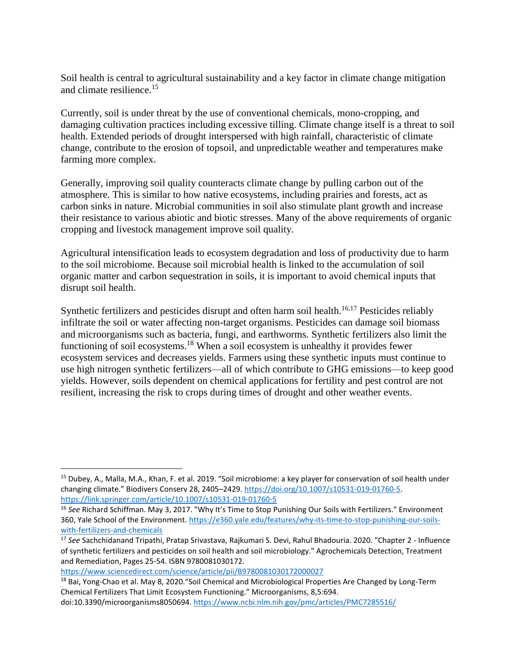Soil health is central to agricultural sustainability and a key factor in climate change mitigation and climate resilience. 15

Currently, soil is under threat by the use of conventional chemicals, mono-cropping, and damaging cultivation practices including excessive tilling. Climate change itself is a threat to soil health. Extended periods of drought interspersed with high rainfall, characteristic of climate change, contribute to the erosion of topsoil, and unpredictable weather and temperatures make farming more complex.

Generally, improving soil quality counteracts climate change by pulling carbon out of the atmosphere. This is similar to how native ecosystems, including prairies and forests, act as carbon sinks in nature. Microbial communities in soil also stimulate plant growth and increase their resistance to various abiotic and biotic stresses. Many of the above requirements of organic cropping and livestock management improve soil quality.

Agricultural intensification leads to ecosystem degradation and loss of productivity due to harm to the soil microbiome. Because soil microbial health is linked to the accumulation of soil organic matter and carbon sequestration in soils, it is important to avoid chemical inputs that disrupt soil health.

Synthetic fertilizers and pesticides disrupt and often harm soil health.<sup>16,17</sup> Pesticides reliably infiltrate the soil or water affecting non-target organisms. Pesticides can damage soil biomass and microorganisms such as bacteria, fungi, and earthworms. Synthetic fertilizers also limit the functioning of soil ecosystems.<sup>18</sup> When a soil ecosystem is unhealthy it provides fewer ecosystem services and decreases yields. Farmers using these synthetic inputs must continue to use high nitrogen synthetic fertilizers—all of which contribute to GHG emissions—to keep good yields. However, soils dependent on chemical applications for fertility and pest control are not resilient, increasing the risk to crops during times of drought and other weather events.

<sup>15</sup> Dubey, A., Malla, M.A., Khan, F. et al. 2019. "Soil microbiome: a key player for conservation of soil health under changing climate." Biodivers Conserv 28, 2405–2429[. https://doi.org/10.1007/s10531-019-01760-5.](https://doi.org/10.1007/s10531-019-01760-5) <https://link.springer.com/article/10.1007/s10531-019-01760-5>

<sup>16</sup> *See* Richard Schiffman. May 3, 2017. "Why It's Time to Stop Punishing Our Soils with Fertilizers." Environment 360, Yale School of the Environment. [https://e360.yale.edu/features/why-its-time-to-stop-punishing-our-soils](https://e360.yale.edu/features/why-its-time-to-stop-punishing-our-soils-with-fertilizers-and-chemicals)[with-fertilizers-and-chemicals](https://e360.yale.edu/features/why-its-time-to-stop-punishing-our-soils-with-fertilizers-and-chemicals)

<sup>17</sup> *See* Sachchidanand Tripathi, Pratap Srivastava, Rajkumari S. Devi, Rahul Bhadouria. 2020. "Chapter 2 - Influence of synthetic fertilizers and pesticides on soil health and soil microbiology." Agrochemicals Detection, Treatment and Remediation, Pages 25-54. ISBN 9780081030172.

<https://www.sciencedirect.com/science/article/pii/B9780081030172000027>

<sup>&</sup>lt;sup>18</sup> Bai, Yong-Chao et al. May 8, 2020. "Soil Chemical and Microbiological Properties Are Changed by Long-Term Chemical Fertilizers That Limit Ecosystem Functioning." Microorganisms, 8,5:694. doi:10.3390/microorganisms8050694[. https://www.ncbi.nlm.nih.gov/pmc/articles/PMC7285516/](https://www.ncbi.nlm.nih.gov/pmc/articles/PMC7285516/)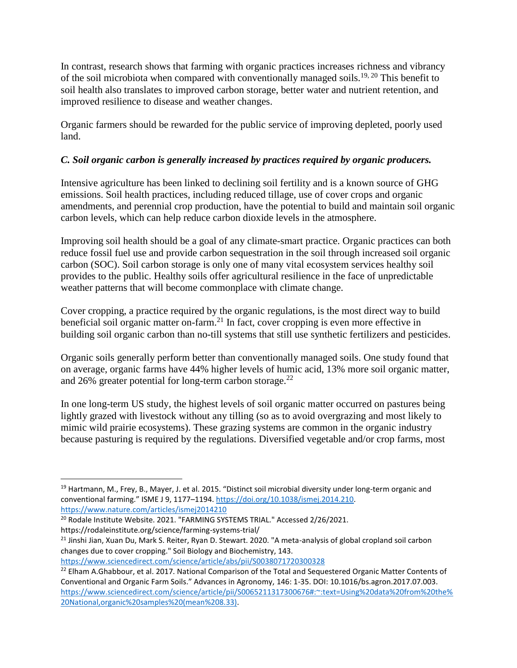In contrast, research shows that farming with organic practices increases richness and vibrancy of the soil microbiota when compared with conventionally managed soils.<sup>19, 20</sup> This benefit to soil health also translates to improved carbon storage, better water and nutrient retention, and improved resilience to disease and weather changes.

Organic farmers should be rewarded for the public service of improving depleted, poorly used land.

## *C. Soil organic carbon is generally increased by practices required by organic producers.*

Intensive agriculture has been linked to declining soil fertility and is a known source of GHG emissions. Soil health practices, including reduced tillage, use of cover crops and organic amendments, and perennial crop production, have the potential to build and maintain soil organic carbon levels, which can help reduce carbon dioxide levels in the atmosphere.

Improving soil health should be a goal of any climate-smart practice. Organic practices can both reduce fossil fuel use and provide carbon sequestration in the soil through increased soil organic carbon (SOC). Soil carbon storage is only one of many vital ecosystem services healthy soil provides to the public. Healthy soils offer agricultural resilience in the face of unpredictable weather patterns that will become commonplace with climate change.

Cover cropping, a practice required by the organic regulations, is the most direct way to build beneficial soil organic matter on-farm.<sup>21</sup> In fact, cover cropping is even more effective in building soil organic carbon than no-till systems that still use synthetic fertilizers and pesticides.

Organic soils generally perform better than conventionally managed soils. One study found that on average, organic farms have 44% higher levels of humic acid, 13% more soil organic matter, and 26% greater potential for long-term carbon storage. $^{22}$ 

In one long-term US study, the highest levels of soil organic matter occurred on pastures being lightly grazed with livestock without any tilling (so as to avoid overgrazing and most likely to mimic wild prairie ecosystems). These grazing systems are common in the organic industry because pasturing is required by the regulations. Diversified vegetable and/or crop farms, most

<sup>&</sup>lt;sup>19</sup> Hartmann, M., Frey, B., Mayer, J. et al. 2015. "Distinct soil microbial diversity under long-term organic and conventional farming." ISME J 9, 1177–1194. [https://doi.org/10.1038/ismej.2014.210.](https://doi.org/10.1038/ismej.2014.210) <https://www.nature.com/articles/ismej2014210>

<sup>&</sup>lt;sup>20</sup> Rodale Institute Website. 2021. "FARMING SYSTEMS TRIAL." Accessed 2/26/2021.

https://rodaleinstitute.org/science/farming-systems-trial/

 $^{21}$  Jinshi Jian, Xuan Du, Mark S. Reiter, Ryan D. Stewart. 2020. "A meta-analysis of global cropland soil carbon changes due to cover cropping." Soil Biology and Biochemistry, 143. <https://www.sciencedirect.com/science/article/abs/pii/S0038071720300328>

<sup>&</sup>lt;sup>22</sup> Elham A.Ghabbour, et al. 2017. National Comparison of the Total and Sequestered Organic Matter Contents of Conventional and Organic Farm Soils." Advances in Agronomy, 146: 1-35. DOI: 10.1016/bs.agron.2017.07.003. [https://www.sciencedirect.com/science/article/pii/S0065211317300676#:~:text=Using%20data%20from%20the%](https://www.sciencedirect.com/science/article/pii/S0065211317300676#:~:text=Using%20data%20from%20the%20National,organic%20samples%20(mean%208.33)) [20National,organic%20samples%20\(mean%208.33\).](https://www.sciencedirect.com/science/article/pii/S0065211317300676#:~:text=Using%20data%20from%20the%20National,organic%20samples%20(mean%208.33))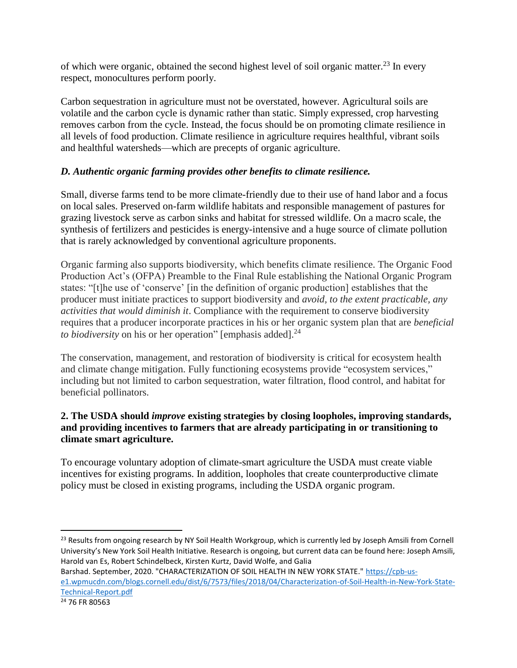of which were organic, obtained the second highest level of soil organic matter.<sup>23</sup> In every respect, monocultures perform poorly.

Carbon sequestration in agriculture must not be overstated, however. Agricultural soils are volatile and the carbon cycle is dynamic rather than static. Simply expressed, crop harvesting removes carbon from the cycle. Instead, the focus should be on promoting climate resilience in all levels of food production. Climate resilience in agriculture requires healthful, vibrant soils and healthful watersheds—which are precepts of organic agriculture.

## *D. Authentic organic farming provides other benefits to climate resilience.*

Small, diverse farms tend to be more climate-friendly due to their use of hand labor and a focus on local sales. Preserved on-farm wildlife habitats and responsible management of pastures for grazing livestock serve as carbon sinks and habitat for stressed wildlife. On a macro scale, the synthesis of fertilizers and pesticides is energy-intensive and a huge source of climate pollution that is rarely acknowledged by conventional agriculture proponents.

Organic farming also supports biodiversity, which benefits climate resilience. The Organic Food Production Act's (OFPA) Preamble to the Final Rule establishing the National Organic Program states: "[t]he use of 'conserve' [in the definition of organic production] establishes that the producer must initiate practices to support biodiversity and *avoid, to the extent practicable, any activities that would diminish it*. Compliance with the requirement to conserve biodiversity requires that a producer incorporate practices in his or her organic system plan that are *beneficial to biodiversity* on his or her operation" [emphasis added].<sup>24</sup>

The conservation, management, and restoration of biodiversity is critical for ecosystem health and climate change mitigation. Fully functioning ecosystems provide "ecosystem services," including but not limited to carbon sequestration, water filtration, flood control, and habitat for beneficial pollinators.

## **2. The USDA should** *improve* **existing strategies by closing loopholes, improving standards, and providing incentives to farmers that are already participating in or transitioning to climate smart agriculture.**

To encourage voluntary adoption of climate-smart agriculture the USDA must create viable incentives for existing programs. In addition, loopholes that create counterproductive climate policy must be closed in existing programs, including the USDA organic program.

<sup>&</sup>lt;sup>23</sup> Results from ongoing research by NY Soil Health Workgroup, which is currently led by Joseph Amsili from Cornell University's New York Soil Health Initiative. Research is ongoing, but current data can be found here: Joseph Amsili, Harold van Es, Robert Schindelbeck, Kirsten Kurtz, David Wolfe, and Galia

Barshad. September, 2020. "CHARACTERIZATION OF SOIL HEALTH IN NEW YORK STATE." [https://cpb-us](https://cpb-us-e1.wpmucdn.com/blogs.cornell.edu/dist/6/7573/files/2018/04/Characterization-of-Soil-Health-in-New-York-State-Technical-Report.pdf)[e1.wpmucdn.com/blogs.cornell.edu/dist/6/7573/files/2018/04/Characterization-of-Soil-Health-in-New-York-State-](https://cpb-us-e1.wpmucdn.com/blogs.cornell.edu/dist/6/7573/files/2018/04/Characterization-of-Soil-Health-in-New-York-State-Technical-Report.pdf)[Technical-Report.pdf](https://cpb-us-e1.wpmucdn.com/blogs.cornell.edu/dist/6/7573/files/2018/04/Characterization-of-Soil-Health-in-New-York-State-Technical-Report.pdf)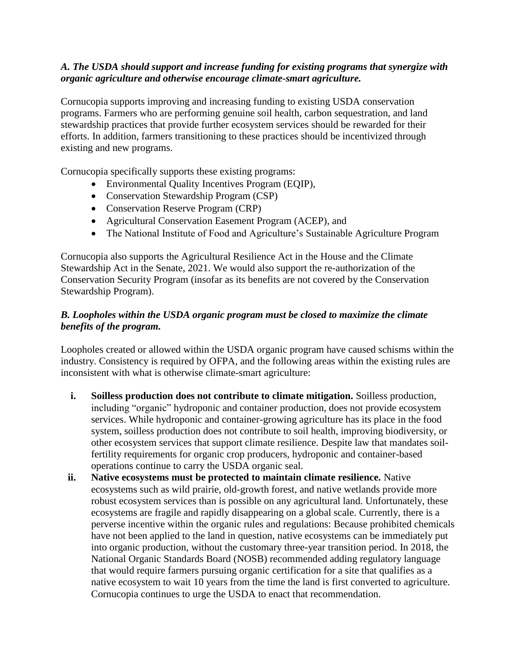### *A. The USDA should support and increase funding for existing programs that synergize with organic agriculture and otherwise encourage climate-smart agriculture.*

Cornucopia supports improving and increasing funding to existing USDA conservation programs. Farmers who are performing genuine soil health, carbon sequestration, and land stewardship practices that provide further ecosystem services should be rewarded for their efforts. In addition, farmers transitioning to these practices should be incentivized through existing and new programs.

Cornucopia specifically supports these existing programs:

- Environmental Quality Incentives Program (EQIP),
- Conservation Stewardship Program (CSP)
- Conservation Reserve Program (CRP)
- Agricultural Conservation Easement Program (ACEP), and
- The National Institute of Food and Agriculture's Sustainable Agriculture Program

Cornucopia also supports the Agricultural Resilience Act in the House and the Climate Stewardship Act in the Senate, 2021. We would also support the re-authorization of the Conservation Security Program (insofar as its benefits are not covered by the Conservation Stewardship Program).

#### *B. Loopholes within the USDA organic program must be closed to maximize the climate benefits of the program.*

Loopholes created or allowed within the USDA organic program have caused schisms within the industry. Consistency is required by OFPA, and the following areas within the existing rules are inconsistent with what is otherwise climate-smart agriculture:

- **i. Soilless production does not contribute to climate mitigation.** Soilless production, including "organic" hydroponic and container production, does not provide ecosystem services. While hydroponic and container-growing agriculture has its place in the food system, soilless production does not contribute to soil health, improving biodiversity, or other ecosystem services that support climate resilience. Despite law that mandates soilfertility requirements for organic crop producers, hydroponic and container-based operations continue to carry the USDA organic seal.
- **ii. Native ecosystems must be protected to maintain climate resilience.** Native ecosystems such as wild prairie, old-growth forest, and native wetlands provide more robust ecosystem services than is possible on any agricultural land. Unfortunately, these ecosystems are fragile and rapidly disappearing on a global scale. Currently, there is a perverse incentive within the organic rules and regulations: Because prohibited chemicals have not been applied to the land in question, native ecosystems can be immediately put into organic production, without the customary three-year transition period. In 2018, the National Organic Standards Board (NOSB) recommended adding regulatory language that would require farmers pursuing organic certification for a site that qualifies as a native ecosystem to wait 10 years from the time the land is first converted to agriculture. Cornucopia continues to urge the USDA to enact that recommendation.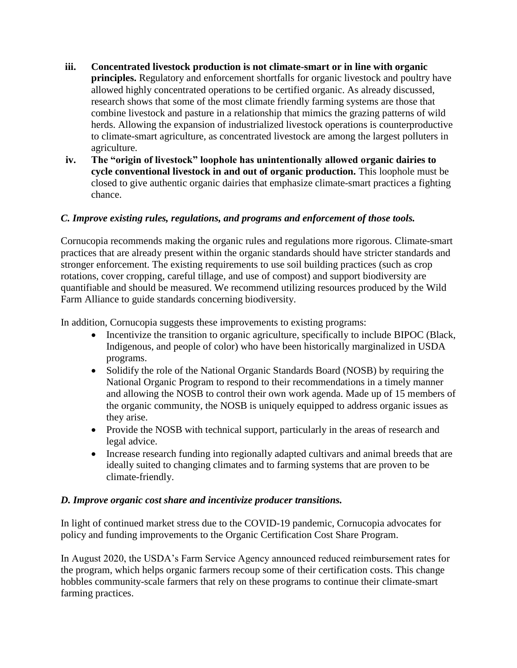- **iii. Concentrated livestock production is not climate-smart or in line with organic principles.** Regulatory and enforcement shortfalls for organic livestock and poultry have allowed highly concentrated operations to be certified organic. As already discussed, research shows that some of the most climate friendly farming systems are those that combine livestock and pasture in a relationship that mimics the grazing patterns of wild herds. Allowing the expansion of industrialized livestock operations is counterproductive to climate-smart agriculture, as concentrated livestock are among the largest polluters in agriculture.
- **iv. The "origin of livestock" loophole has unintentionally allowed organic dairies to cycle conventional livestock in and out of organic production.** This loophole must be closed to give authentic organic dairies that emphasize climate-smart practices a fighting chance.

## *C. Improve existing rules, regulations, and programs and enforcement of those tools.*

Cornucopia recommends making the organic rules and regulations more rigorous. Climate-smart practices that are already present within the organic standards should have stricter standards and stronger enforcement. The existing requirements to use soil building practices (such as crop rotations, cover cropping, careful tillage, and use of compost) and support biodiversity are quantifiable and should be measured. We recommend utilizing resources produced by the Wild Farm Alliance to guide standards concerning biodiversity.

In addition, Cornucopia suggests these improvements to existing programs:

- Incentivize the transition to organic agriculture, specifically to include BIPOC (Black, Indigenous, and people of color) who have been historically marginalized in USDA programs.
- Solidify the role of the National Organic Standards Board (NOSB) by requiring the National Organic Program to respond to their recommendations in a timely manner and allowing the NOSB to control their own work agenda. Made up of 15 members of the organic community, the NOSB is uniquely equipped to address organic issues as they arise.
- Provide the NOSB with technical support, particularly in the areas of research and legal advice.
- Increase research funding into regionally adapted cultivars and animal breeds that are ideally suited to changing climates and to farming systems that are proven to be climate-friendly.

#### *D. Improve organic cost share and incentivize producer transitions.*

In light of continued market stress due to the COVID-19 pandemic, Cornucopia advocates for policy and funding improvements to the Organic Certification Cost Share Program.

In August 2020, the USDA's Farm Service Agency announced reduced reimbursement rates for the program, which helps organic farmers recoup some of their certification costs. This change hobbles community-scale farmers that rely on these programs to continue their climate-smart farming practices.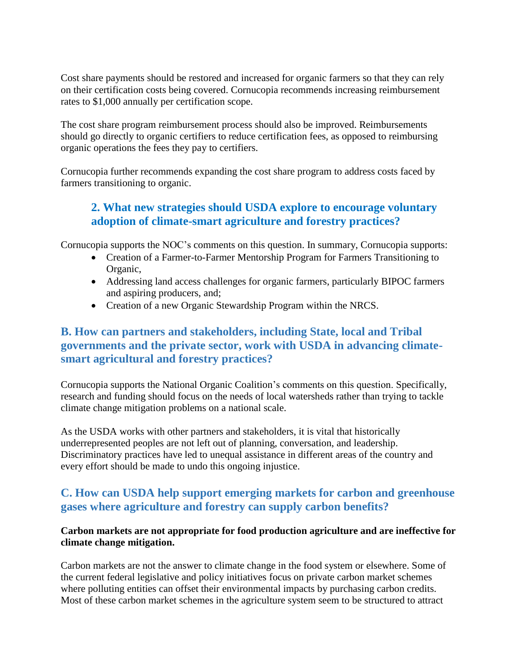Cost share payments should be restored and increased for organic farmers so that they can rely on their certification costs being covered. Cornucopia recommends increasing reimbursement rates to \$1,000 annually per certification scope.

The cost share program reimbursement process should also be improved. Reimbursements should go directly to organic certifiers to reduce certification fees, as opposed to reimbursing organic operations the fees they pay to certifiers.

Cornucopia further recommends expanding the cost share program to address costs faced by farmers transitioning to organic.

# **2. What new strategies should USDA explore to encourage voluntary adoption of climate-smart agriculture and forestry practices?**

Cornucopia supports the NOC's comments on this question. In summary, Cornucopia supports:

- Creation of a Farmer-to-Farmer Mentorship Program for Farmers Transitioning to Organic,
- Addressing land access challenges for organic farmers, particularly BIPOC farmers and aspiring producers, and;
- Creation of a new Organic Stewardship Program within the NRCS.

## **B. How can partners and stakeholders, including State, local and Tribal governments and the private sector, work with USDA in advancing climatesmart agricultural and forestry practices?**

Cornucopia supports the National Organic Coalition's comments on this question. Specifically, research and funding should focus on the needs of local watersheds rather than trying to tackle climate change mitigation problems on a national scale.

As the USDA works with other partners and stakeholders, it is vital that historically underrepresented peoples are not left out of planning, conversation, and leadership. Discriminatory practices have led to unequal assistance in different areas of the country and every effort should be made to undo this ongoing injustice.

## **C. How can USDA help support emerging markets for carbon and greenhouse gases where agriculture and forestry can supply carbon benefits?**

### **Carbon markets are not appropriate for food production agriculture and are ineffective for climate change mitigation.**

Carbon markets are not the answer to climate change in the food system or elsewhere. Some of the current federal legislative and policy initiatives focus on private carbon market schemes where polluting entities can offset their environmental impacts by purchasing carbon credits. Most of these carbon market schemes in the agriculture system seem to be structured to attract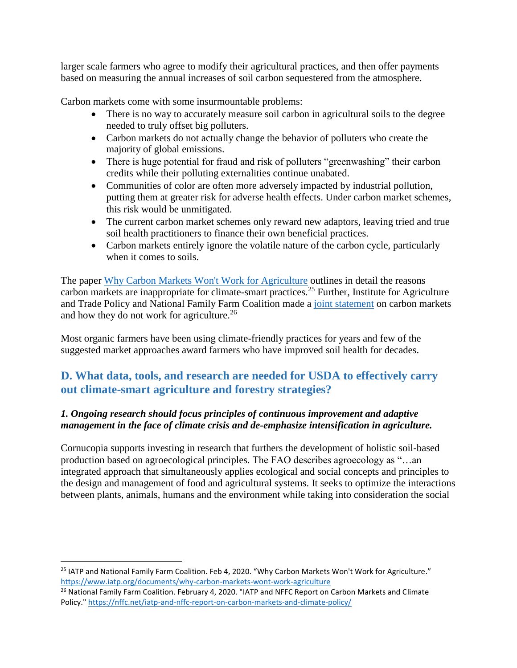larger scale farmers who agree to modify their agricultural practices, and then offer payments based on measuring the annual increases of soil carbon sequestered from the atmosphere.

Carbon markets come with some insurmountable problems:

- There is no way to accurately measure soil carbon in agricultural soils to the degree needed to truly offset big polluters.
- Carbon markets do not actually change the behavior of polluters who create the majority of global emissions.
- There is huge potential for fraud and risk of polluters "greenwashing" their carbon credits while their polluting externalities continue unabated.
- Communities of color are often more adversely impacted by industrial pollution, putting them at greater risk for adverse health effects. Under carbon market schemes, this risk would be unmitigated.
- The current carbon market schemes only reward new adaptors, leaving tried and true soil health practitioners to finance their own beneficial practices.
- Carbon markets entirely ignore the volatile nature of the carbon cycle, particularly when it comes to soils.

The paper [Why Carbon Markets Won't Work for Agriculture](https://www.iatp.org/documents/why-carbon-markets-wont-work-agriculture) outlines in detail the reasons carbon markets are inappropriate for climate-smart practices.<sup>25</sup> Further, Institute for Agriculture and Trade Policy and National Family Farm Coalition made a [joint statement](https://nffc.net/iatp-and-nffc-report-on-carbon-markets-and-climate-policy/) on carbon markets and how they do not work for agriculture.<sup>26</sup>

Most organic farmers have been using climate-friendly practices for years and few of the suggested market approaches award farmers who have improved soil health for decades.

## **D. What data, tools, and research are needed for USDA to effectively carry out climate-smart agriculture and forestry strategies?**

## *1. Ongoing research should focus principles of continuous improvement and adaptive management in the face of climate crisis and de-emphasize intensification in agriculture.*

Cornucopia supports investing in research that furthers the development of holistic soil-based production based on agroecological principles. The FAO describes agroecology as "…an integrated approach that simultaneously applies ecological and social concepts and principles to the design and management of food and agricultural systems. It seeks to optimize the interactions between plants, animals, humans and the environment while taking into consideration the social

<sup>&</sup>lt;sup>25</sup> IATP and National Family Farm Coalition. Feb 4, 2020. "Why Carbon Markets Won't Work for Agriculture." <https://www.iatp.org/documents/why-carbon-markets-wont-work-agriculture>

<sup>&</sup>lt;sup>26</sup> National Family Farm Coalition. February 4, 2020. "IATP and NFFC Report on Carbon Markets and Climate Policy.[" https://nffc.net/iatp-and-nffc-report-on-carbon-markets-and-climate-policy/](https://nffc.net/iatp-and-nffc-report-on-carbon-markets-and-climate-policy/)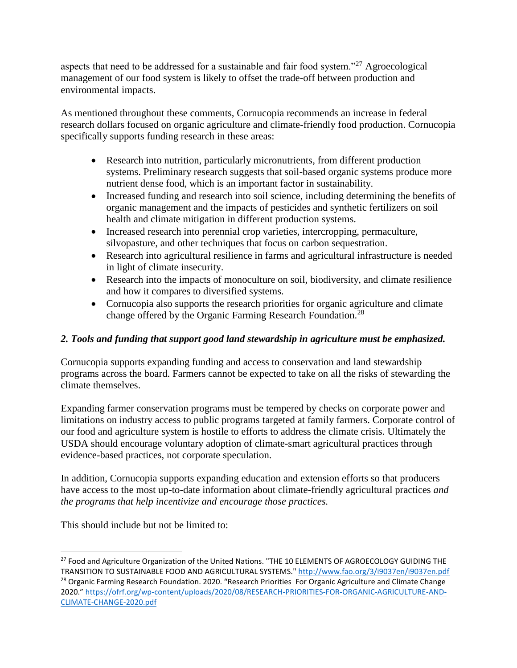aspects that need to be addressed for a sustainable and fair food system."<sup>27</sup> Agroecological management of our food system is likely to offset the trade-off between production and environmental impacts.

As mentioned throughout these comments, Cornucopia recommends an increase in federal research dollars focused on organic agriculture and climate-friendly food production. Cornucopia specifically supports funding research in these areas:

- Research into nutrition, particularly micronutrients, from different production systems. Preliminary research suggests that soil-based organic systems produce more nutrient dense food, which is an important factor in sustainability.
- Increased funding and research into soil science, including determining the benefits of organic management and the impacts of pesticides and synthetic fertilizers on soil health and climate mitigation in different production systems.
- Increased research into perennial crop varieties, intercropping, permaculture, silvopasture, and other techniques that focus on carbon sequestration.
- Research into agricultural resilience in farms and agricultural infrastructure is needed in light of climate insecurity.
- Research into the impacts of monoculture on soil, biodiversity, and climate resilience and how it compares to diversified systems.
- Cornucopia also supports the research priorities for organic agriculture and climate change offered by the Organic Farming Research Foundation.<sup>28</sup>

## *2. Tools and funding that support good land stewardship in agriculture must be emphasized.*

Cornucopia supports expanding funding and access to conservation and land stewardship programs across the board. Farmers cannot be expected to take on all the risks of stewarding the climate themselves.

Expanding farmer conservation programs must be tempered by checks on corporate power and limitations on industry access to public programs targeted at family farmers. Corporate control of our food and agriculture system is hostile to efforts to address the climate crisis. Ultimately the USDA should encourage voluntary adoption of climate-smart agricultural practices through evidence-based practices, not corporate speculation.

In addition, Cornucopia supports expanding education and extension efforts so that producers have access to the most up-to-date information about climate-friendly agricultural practices *and the programs that help incentivize and encourage those practices.*

This should include but not be limited to:

<sup>&</sup>lt;sup>27</sup> Food and Agriculture Organization of the United Nations. "THE 10 ELEMENTS OF AGROECOLOGY GUIDING THE TRANSITION TO SUSTAINABLE FOOD AND AGRICULTURAL SYSTEMS.[" http://www.fao.org/3/i9037en/i9037en.pdf](http://www.fao.org/3/i9037en/i9037en.pdf) <sup>28</sup> Organic Farming Research Foundation. 2020. "Research Priorities For Organic Agriculture and Climate Change 2020." [https://ofrf.org/wp-content/uploads/2020/08/RESEARCH-PRIORITIES-FOR-ORGANIC-AGRICULTURE-AND-](https://ofrf.org/wp-content/uploads/2020/08/RESEARCH-PRIORITIES-FOR-ORGANIC-AGRICULTURE-AND-CLIMATE-CHANGE-2020.pdf)[CLIMATE-CHANGE-2020.pdf](https://ofrf.org/wp-content/uploads/2020/08/RESEARCH-PRIORITIES-FOR-ORGANIC-AGRICULTURE-AND-CLIMATE-CHANGE-2020.pdf)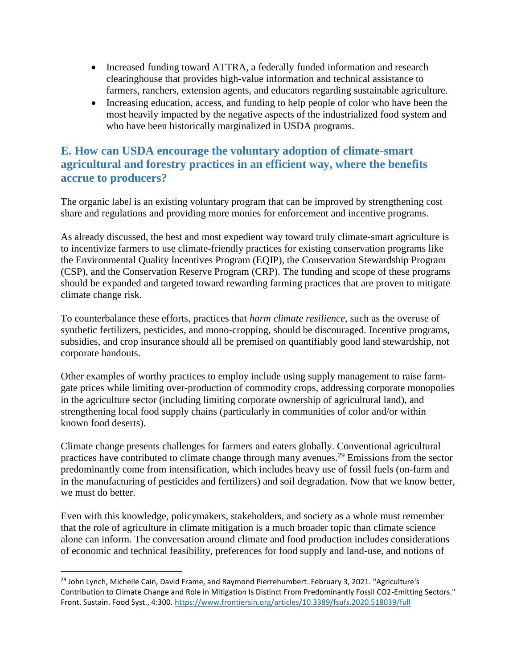- Increased funding toward ATTRA, a federally funded information and research clearinghouse that provides high-value information and technical assistance to farmers, ranchers, extension agents, and educators regarding sustainable agriculture.
- Increasing education, access, and funding to help people of color who have been the most heavily impacted by the negative aspects of the industrialized food system and who have been historically marginalized in USDA programs.

# **E. How can USDA encourage the voluntary adoption of climate-smart agricultural and forestry practices in an efficient way, where the benefits accrue to producers?**

The organic label is an existing voluntary program that can be improved by strengthening cost share and regulations and providing more monies for enforcement and incentive programs.

As already discussed, the best and most expedient way toward truly climate-smart agriculture is to incentivize farmers to use climate-friendly practices for existing conservation programs like the Environmental Quality Incentives Program (EQIP), the Conservation Stewardship Program (CSP), and the Conservation Reserve Program (CRP). The funding and scope of these programs should be expanded and targeted toward rewarding farming practices that are proven to mitigate climate change risk.

To counterbalance these efforts, practices that *harm climate resilience*, such as the overuse of synthetic fertilizers, pesticides, and mono-cropping, should be discouraged. Incentive programs, subsidies, and crop insurance should all be premised on quantifiably good land stewardship, not corporate handouts.

Other examples of worthy practices to employ include using supply management to raise farmgate prices while limiting over-production of commodity crops, addressing corporate monopolies in the agriculture sector (including limiting corporate ownership of agricultural land), and strengthening local food supply chains (particularly in communities of color and/or within known food deserts).

Climate change presents challenges for farmers and eaters globally. Conventional agricultural practices have contributed to climate change through many avenues.<sup>29</sup> Emissions from the sector predominantly come from intensification, which includes heavy use of fossil fuels (on-farm and in the manufacturing of pesticides and fertilizers) and soil degradation. Now that we know better, we must do better.

Even with this knowledge, policymakers, stakeholders, and society as a whole must remember that the role of agriculture in climate mitigation is a much broader topic than climate science alone can inform. The conversation around climate and food production includes considerations of economic and technical feasibility, preferences for food supply and land-use, and notions of

<sup>&</sup>lt;sup>29</sup> John Lynch, Michelle Cain, David Frame, and Raymond Pierrehumbert. February 3, 2021. "Agriculture's Contribution to Climate Change and Role in Mitigation Is Distinct From Predominantly Fossil CO2-Emitting Sectors." Front. Sustain. Food Syst., 4:300.<https://www.frontiersin.org/articles/10.3389/fsufs.2020.518039/full>